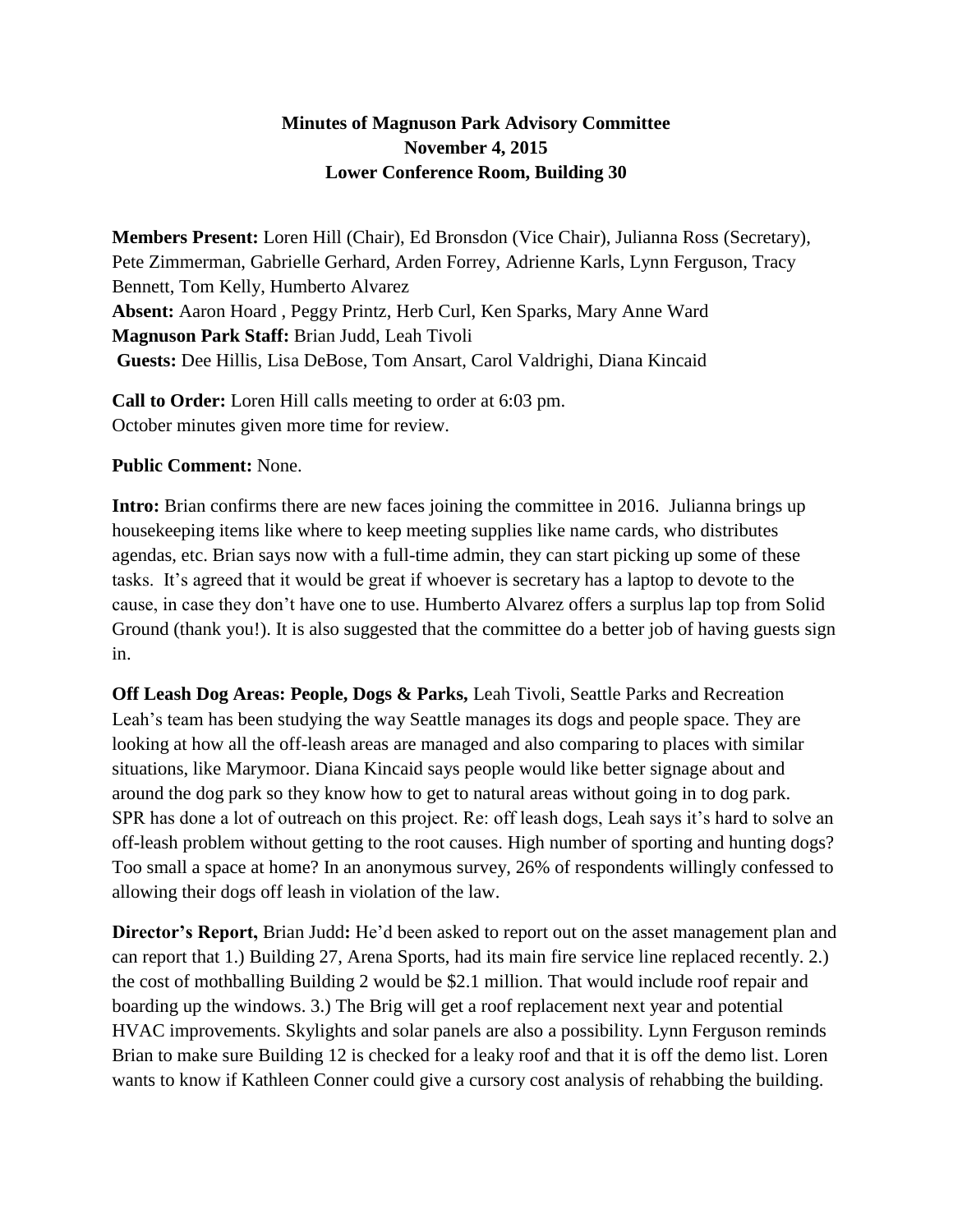## **Minutes of Magnuson Park Advisory Committee November 4, 2015 Lower Conference Room, Building 30**

**Members Present:** Loren Hill (Chair), Ed Bronsdon (Vice Chair), Julianna Ross (Secretary), Pete Zimmerman, Gabrielle Gerhard, Arden Forrey, Adrienne Karls, Lynn Ferguson, Tracy Bennett, Tom Kelly, Humberto Alvarez **Absent:** Aaron Hoard , Peggy Printz, Herb Curl, Ken Sparks, Mary Anne Ward **Magnuson Park Staff:** Brian Judd, Leah Tivoli **Guests:** Dee Hillis, Lisa DeBose, Tom Ansart, Carol Valdrighi, Diana Kincaid

**Call to Order:** Loren Hill calls meeting to order at 6:03 pm. October minutes given more time for review.

## **Public Comment:** None.

**Intro:** Brian confirms there are new faces joining the committee in 2016. Julianna brings up housekeeping items like where to keep meeting supplies like name cards, who distributes agendas, etc. Brian says now with a full-time admin, they can start picking up some of these tasks. It's agreed that it would be great if whoever is secretary has a laptop to devote to the cause, in case they don't have one to use. Humberto Alvarez offers a surplus lap top from Solid Ground (thank you!). It is also suggested that the committee do a better job of having guests sign in.

**Off Leash Dog Areas: People, Dogs & Parks,** Leah Tivoli, Seattle Parks and Recreation Leah's team has been studying the way Seattle manages its dogs and people space. They are looking at how all the off-leash areas are managed and also comparing to places with similar situations, like Marymoor. Diana Kincaid says people would like better signage about and around the dog park so they know how to get to natural areas without going in to dog park. SPR has done a lot of outreach on this project. Re: off leash dogs, Leah says it's hard to solve an off-leash problem without getting to the root causes. High number of sporting and hunting dogs? Too small a space at home? In an anonymous survey, 26% of respondents willingly confessed to allowing their dogs off leash in violation of the law.

**Director's Report,** Brian Judd**:** He'd been asked to report out on the asset management plan and can report that 1.) Building 27, Arena Sports, had its main fire service line replaced recently. 2.) the cost of mothballing Building 2 would be \$2.1 million. That would include roof repair and boarding up the windows. 3.) The Brig will get a roof replacement next year and potential HVAC improvements. Skylights and solar panels are also a possibility. Lynn Ferguson reminds Brian to make sure Building 12 is checked for a leaky roof and that it is off the demo list. Loren wants to know if Kathleen Conner could give a cursory cost analysis of rehabbing the building.